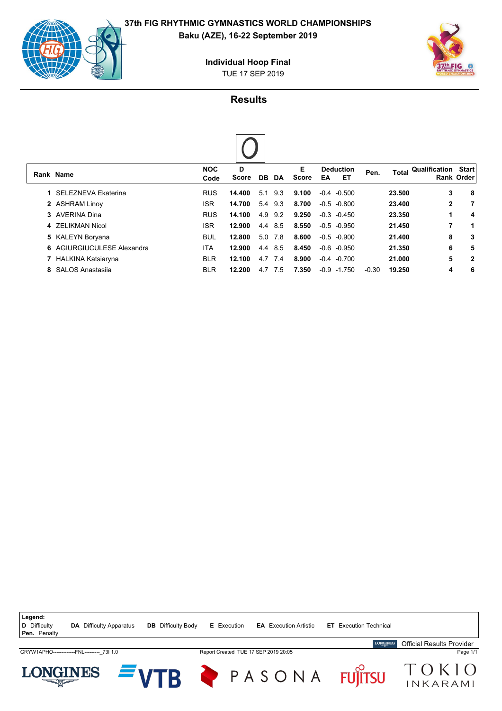

**Baku (AZE), 16-22 September 2019**



TUE 17 SEP 2019 **Individual Hoop Final**

# **Results**

|    | Rank Name                 | <b>NOC</b><br>Code | D<br><b>Score</b> | DB. | DA   | Е<br>Score | <b>Deduction</b><br>ET<br>EA | Pen.    | Total  | Qualification | <b>Start</b><br><b>Rank Order</b> |
|----|---------------------------|--------------------|-------------------|-----|------|------------|------------------------------|---------|--------|---------------|-----------------------------------|
| 1. | SELEZNEVA Ekaterina       | <b>RUS</b>         | 14.400            | 5.1 | 9.3  | 9.100      | $-0.4 - 0.500$               |         | 23.500 | 3             | 8                                 |
|    | 2 ASHRAM Linoy            | <b>ISR</b>         | 14.700            | 5.4 | 9.3  | 8.700      | $-0.5 -0.800$                |         | 23,400 | $\mathbf{2}$  | 7                                 |
| 3  | AVERINA Dina              | <b>RUS</b>         | 14.100            | 4.9 | 9.2  | 9.250      | $-0.3 - 0.450$               |         | 23.350 | 1             | 4                                 |
|    | 4 ZELIKMAN Nicol          | <b>ISR</b>         | 12.900            | 4.4 | 8.5  | 8.550      | $-0.5 -0.950$                |         | 21.450 | 7             | 1                                 |
|    | 5 KALEYN Boryana          | <b>BUL</b>         | 12.800            | 5.0 | 7.8  | 8.600      | $-0.5 - 0.900$               |         | 21.400 | 8             | 3                                 |
| 6. | AGIURGIUCULESE Alexandra  | <b>ITA</b>         | 12.900            | 4.4 | 8.5  | 8.450      | $-0.6$<br>-0.950             |         | 21.350 | 6             | 5                                 |
| 7. | <b>HALKINA Katsiaryna</b> | <b>BLR</b>         | 12.100            | 4.7 | 7.4  | 8.900      | $-0.4$<br>-0.700             |         | 21.000 | 5             | $\mathbf{2}$                      |
| 8  | <b>SALOS Anastasija</b>   | <b>BLR</b>         | 12.200            | 4.7 | -7.5 | 7.350      | $-0.9 - 1.750$               | $-0.30$ | 19.250 | 4             | 6                                 |

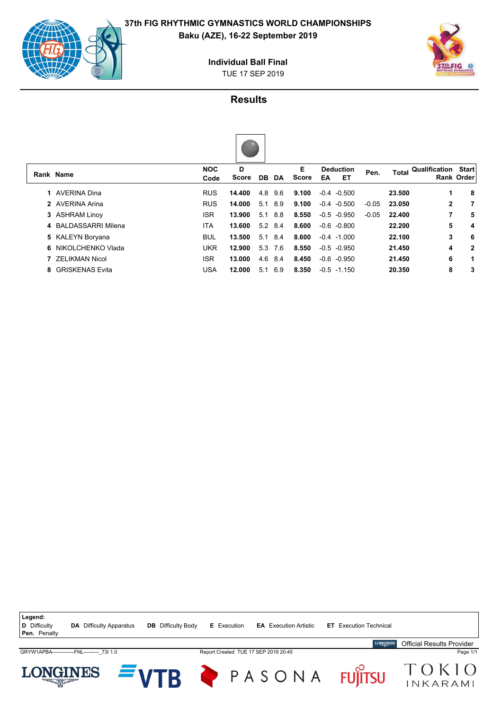

**Baku (AZE), 16-22 September 2019**



#### TUE 17 SEP 2019 **Individual Ball Final**

## **Results**

|--|

|   | Rank Name              | <b>NOC</b><br>Code | D<br>Score | DB DA     |     | Е<br>Score | <b>Deduction</b><br>EТ<br>EA | Pen.    | Total  | <b>Qualification Start</b> | <b>Rank Order</b> |
|---|------------------------|--------------------|------------|-----------|-----|------------|------------------------------|---------|--------|----------------------------|-------------------|
|   | AVERINA Dina           | <b>RUS</b>         | 14.400     | 4.8       | 9.6 | 9.100      | $-0.4 -0.500$                |         | 23.500 |                            | 8                 |
|   | 2 AVERINA Arina        | <b>RUS</b>         | 14.000     | 5.1       | 8.9 | 9.100      | $-0.4 - 0.500$               | $-0.05$ | 23.050 | 2                          | 7                 |
|   | 3 ASHRAM Linoy         | <b>ISR</b>         | 13.900     | 5.1       | 8.8 | 8.550      | $-0.5 - 0.950$               | $-0.05$ | 22.400 | 7                          | 5                 |
|   | 4 BALDASSARRI Milena   | <b>ITA</b>         | 13.600     | $5.2$ 8.4 |     | 8.600      | $-0.6 - 0.800$               |         | 22.200 | 5                          | 4                 |
|   | 5 KALEYN Boryana       | <b>BUL</b>         | 13.500     | 5.1       | 8.4 | 8.600      | $-0.4 -1.000$                |         | 22.100 | 3                          | 6                 |
| 6 | NIKOLCHENKO Vlada      | UKR                | 12.900     | 5.3       | 7.6 | 8.550      | $-0.5 - 0.950$               |         | 21.450 | 4                          | $\mathbf{2}$      |
|   | <b>ZELIKMAN Nicol</b>  | <b>ISR</b>         | 13.000     | 4.6       | 8.4 | 8.450      | $-0.6 - 0.950$               |         | 21.450 | 6                          | 1                 |
| 8 | <b>GRISKENAS Evita</b> | <b>USA</b>         | 12.000     | 5.1       | 6.9 | 8.350      | $-0.5 -1.150$                |         | 20.350 | 8                          | 3                 |
|   |                        |                    |            |           |     |            |                              |         |        |                            |                   |

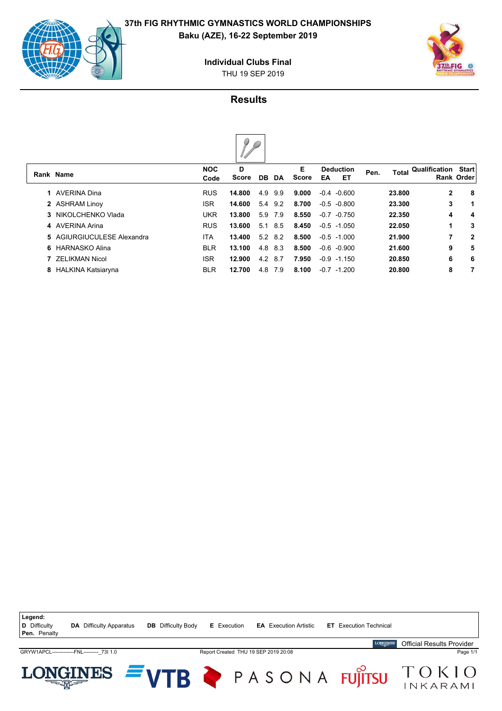



THU 19 SEP 2019 **Individual Clubs Final**

## **Results**

|   | Rank Name                  | <b>NOC</b><br>Code | D<br><b>Score</b> | DB. | <b>DA</b> | Е<br><b>Score</b> | EA     | <b>Deduction</b><br>ET | Pen. | <b>Total</b> | Qualification | <b>Start</b><br><b>Rank Order</b> |
|---|----------------------------|--------------------|-------------------|-----|-----------|-------------------|--------|------------------------|------|--------------|---------------|-----------------------------------|
|   | AVERINA Dina               | <b>RUS</b>         | 14.800            | 4.9 | 9.9       | 9.000             |        | $-0.4 - 0.600$         |      | 23,800       | $\mathbf{2}$  | -8                                |
|   | 2 ASHRAM Linoy             | <b>ISR</b>         | 14.600            | 5.4 | 9.2       | 8.700             |        | $-0.5 -0.800$          |      | 23.300       | 3             | $\mathbf 1$                       |
|   | 3 NIKOLCHENKO Vlada        | <b>UKR</b>         | 13,800            | 5.9 | 7.9       | 8.550             | $-0.7$ | $-0.750$               |      | 22.350       | 4             | 4                                 |
|   | 4 AVERINA Arina            | <b>RUS</b>         | 13.600            | 5.1 | 8.5       | 8.450             |        | $-0.5 -1.050$          |      | 22.050       | 1             | 3                                 |
|   | 5 AGIURGIUCULESE Alexandra | ITA.               | 13.400            | 5.2 | 8.2       | 8.500             |        | $-0.5 -1.000$          |      | 21.900       | 7             | $\mathbf{2}$                      |
|   | 6 HARNASKO Alina           | <b>BLR</b>         | 13.100            | 4.8 | 8.3       | 8.500             | $-0.6$ | -0.900                 |      | 21.600       | 9             | 5                                 |
|   | <b>ZELIKMAN Nicol</b>      | <b>ISR</b>         | 12.900            | 4.2 | 8.7       | 7.950             |        | $-0.9 -1.150$          |      | 20.850       | 6             | 6                                 |
| 8 | HALKINA Katsiaryna         | <b>BLR</b>         | 12.700            | 4.8 | 7.9       | 8.100             | $-0.7$ | $-1.200$               |      | 20.800       | 8             | 7                                 |